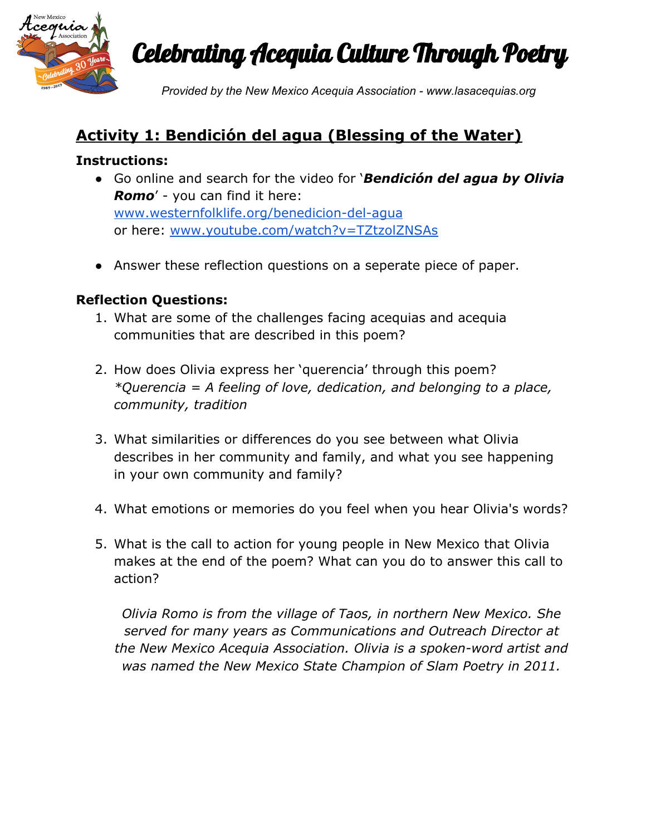

Celebrating Acequia Culture Through Poetry

*Provided by the New Mexico Acequia Association - www.lasacequias.org*

## **Activity 1: Bendición del agua (Blessing of the Water)**

#### **Instructions:**

- Go online and search for the video for '*Bendición del agua by Olivia Romo*' - you can find it here: [www.westernfolklife.org/benedicion-del-agua](https://www.westernfolklife.org/benedicion-del-agua) or here: [www.youtube.com/watch?v=TZtzolZNSAs](https://www.youtube.com/watch?v=TZtzolZNSAs)
- Answer these reflection questions on a seperate piece of paper.

## **Reflection Questions:**

- 1. What are some of the challenges facing acequias and acequia communities that are described in this poem?
- 2. How does Olivia express her 'querencia' through this poem? *\*Querencia = A feeling of love, dedication, and belonging to a place, community, tradition*
- 3. What similarities or differences do you see between what Olivia describes in her community and family, and what you see happening in your own community and family?
- 4. What emotions or memories do you feel when you hear Olivia's words?
- 5. What is the call to action for young people in New Mexico that Olivia makes at the end of the poem? What can you do to answer this call to action?

*Olivia Romo is from the village of Taos, in northern New Mexico. She served for many years as Communications and Outreach Director at the New Mexico Acequia Association. Olivia is a spoken-word artist and was named the New Mexico State Champion of Slam Poetry in 2011.*